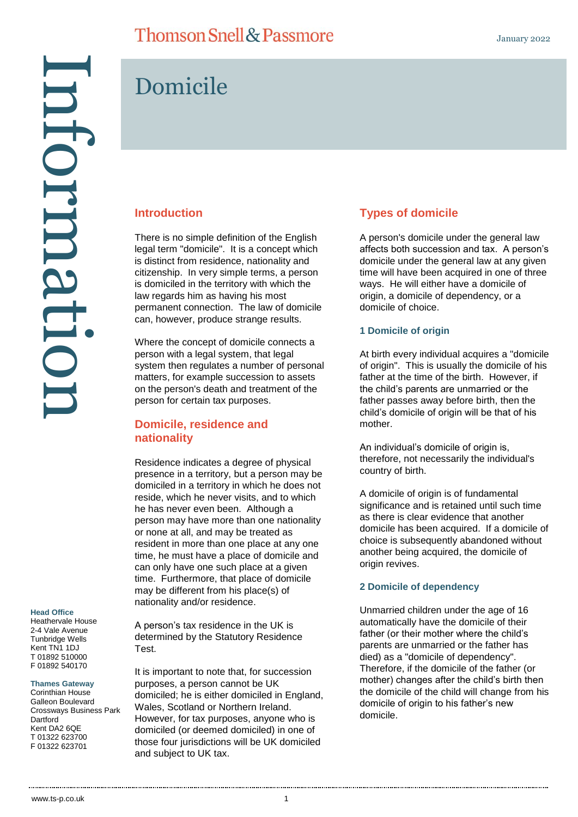There is no simple definition of the English legal term "domicile". It is a concept which is distinct from residence, nationality and citizenship. In very simple terms, a person is domiciled in the territory with which the law regards him as having his most

permanent connection. The law of domicile can, however, produce strange results.

Where the concept of domicile connects a person with a legal system, that legal

Residence indicates a degree of physical presence in a territory, but a person may be domiciled in a territory in which he does not reside, which he never visits, and to which he has never even been. Although a person may have more than one nationality or none at all, and may be treated as resident in more than one place at any one time, he must have a place of domicile and can only have one such place at a given time. Furthermore, that place of domicile may be different from his place(s) of

person for certain tax purposes.

**Domicile, residence and** 

**nationality**

system then regulates a number of personal matters, for example succession to assets on the person's death and treatment of the

Domicile

**Introduction**

# Information ntormatic

## **Head Office**

Heathervale House 2-4 Vale Avenue Tunbridge Wells Kent TN1 1DJ T 01892 510000 F 01892 540170

#### **Thames Gateway**

Corinthian House Galleon Boulevard Crossways Business Park **Dartford** Kent DA2 6QE T 01322 623700 F 01322 623701

A person's tax residence in the UK is determined by the Statutory Residence Test.

nationality and/or residence.

It is important to note that, for succession purposes, a person cannot be UK domiciled; he is either domiciled in England, Wales, Scotland or Northern Ireland. However, for tax purposes, anyone who is domiciled (or deemed domiciled) in one of those four jurisdictions will be UK domiciled and subject to UK tax.

## **Types of domicile**

A person's domicile under the general law affects both succession and tax. A person's domicile under the general law at any given time will have been acquired in one of three ways. He will either have a domicile of origin, a domicile of dependency, or a domicile of choice.

#### **1 Domicile of origin**

At birth every individual acquires a "domicile of origin". This is usually the domicile of his father at the time of the birth. However, if the child's parents are unmarried or the father passes away before birth, then the child's domicile of origin will be that of his mother.

An individual's domicile of origin is, therefore, not necessarily the individual's country of birth.

A domicile of origin is of fundamental significance and is retained until such time as there is clear evidence that another domicile has been acquired. If a domicile of choice is subsequently abandoned without another being acquired, the domicile of origin revives.

#### **2 Domicile of dependency**

Unmarried children under the age of 16 automatically have the domicile of their father (or their mother where the child's parents are unmarried or the father has died) as a "domicile of dependency". Therefore, if the domicile of the father (or mother) changes after the child's birth then the domicile of the child will change from his domicile of origin to his father's new domicile.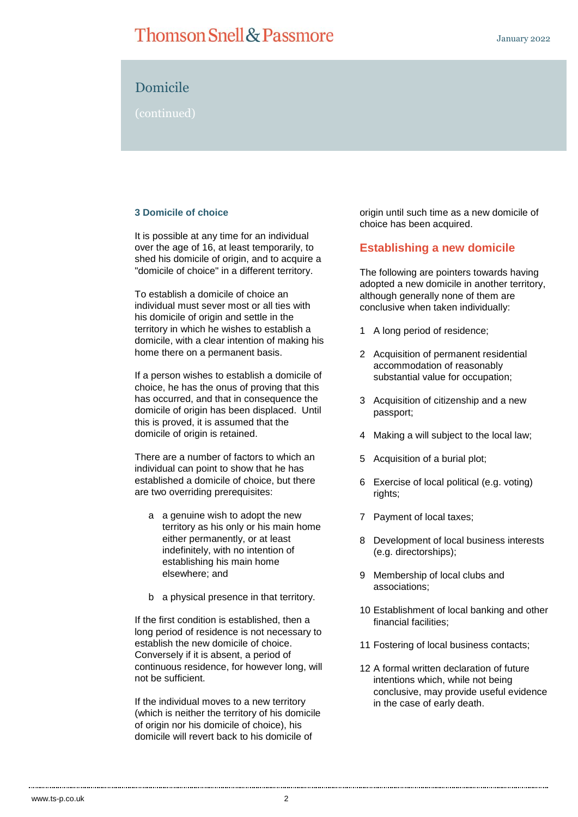# Domicile

(continued)

#### **3 Domicile of choice**

It is possible at any time for an individual over the age of 16, at least temporarily, to shed his domicile of origin, and to acquire a "domicile of choice" in a different territory.

To establish a domicile of choice an individual must sever most or all ties with his domicile of origin and settle in the territory in which he wishes to establish a domicile, with a clear intention of making his home there on a permanent basis.

If a person wishes to establish a domicile of choice, he has the onus of proving that this has occurred, and that in consequence the domicile of origin has been displaced. Until this is proved, it is assumed that the domicile of origin is retained.

There are a number of factors to which an individual can point to show that he has established a domicile of choice, but there are two overriding prerequisites:

- a a genuine wish to adopt the new territory as his only or his main home either permanently, or at least indefinitely, with no intention of establishing his main home elsewhere; and
- b a physical presence in that territory.

If the first condition is established, then a long period of residence is not necessary to establish the new domicile of choice. Conversely if it is absent, a period of continuous residence, for however long, will not be sufficient.

If the individual moves to a new territory (which is neither the territory of his domicile of origin nor his domicile of choice), his domicile will revert back to his domicile of

origin until such time as a new domicile of choice has been acquired.

#### **Establishing a new domicile**

The following are pointers towards having adopted a new domicile in another territory, although generally none of them are conclusive when taken individually:

- 1 A long period of residence;
- 2 Acquisition of permanent residential accommodation of reasonably substantial value for occupation;
- 3 Acquisition of citizenship and a new passport;
- 4 Making a will subject to the local law;
- 5 Acquisition of a burial plot;
- 6 Exercise of local political (e.g. voting) rights;
- 7 Payment of local taxes;
- 8 Development of local business interests (e.g. directorships);
- 9 Membership of local clubs and associations;
- 10 Establishment of local banking and other financial facilities;
- 11 Fostering of local business contacts;
- 12 A formal written declaration of future intentions which, while not being conclusive, may provide useful evidence in the case of early death.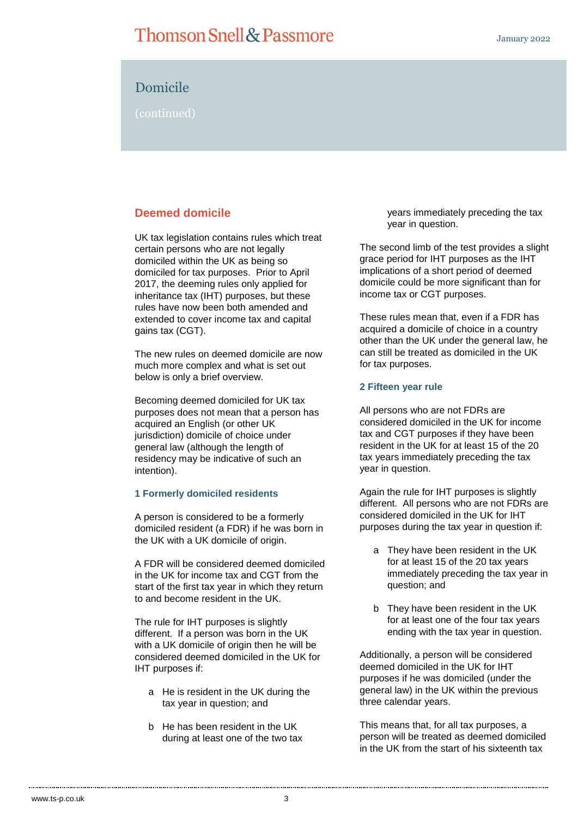# Domicile

(continued)

## **Deemed domicile**

UK tax legislation contains rules which treat certain persons who are not legally domiciled within the UK as being so domiciled for tax purposes. Prior to April 2017, the deeming rules only applied for inheritance tax (IHT) purposes, but these rules have now been both amended and extended to cover income tax and capital gains tax (CGT).

The new rules on deemed domicile are now much more complex and what is set out below is only a brief overview.

Becoming deemed domiciled for UK tax purposes does not mean that a person has acquired an English (or other UK jurisdiction) domicile of choice under general law (although the length of residency may be indicative of such an intention).

#### **1 Formerly domiciled residents**

A person is considered to be a formerly domiciled resident (a FDR) if he was born in the UK with a UK domicile of origin.

A FDR will be considered deemed domiciled in the UK for income tax and CGT from the start of the first tax year in which they return to and become resident in the UK.

The rule for IHT purposes is slightly different. If a person was born in the UK with a UK domicile of origin then he will be considered deemed domiciled in the UK for IHT purposes if:

- a He is resident in the UK during the tax year in question; and
- b He has been resident in the UK during at least one of the two tax

years immediately preceding the tax year in question.

The second limb of the test provides a slight grace period for IHT purposes as the IHT implications of a short period of deemed domicile could be more significant than for income tax or CGT purposes.

These rules mean that, even if a FDR has acquired a domicile of choice in a country other than the UK under the general law, he can still be treated as domiciled in the UK for tax purposes.

#### **2 Fifteen year rule**

All persons who are not FDRs are considered domiciled in the UK for income tax and CGT purposes if they have been resident in the UK for at least 15 of the 20 tax years immediately preceding the tax year in question.

Again the rule for IHT purposes is slightly different. All persons who are not FDRs are considered domiciled in the UK for IHT purposes during the tax year in question if:

- a They have been resident in the UK for at least 15 of the 20 tax years immediately preceding the tax year in question; and
- b They have been resident in the UK for at least one of the four tax years ending with the tax year in question.

Additionally, a person will be considered deemed domiciled in the UK for IHT purposes if he was domiciled (under the general law) in the UK within the previous three calendar years.

This means that, for all tax purposes, a person will be treated as deemed domiciled in the UK from the start of his sixteenth tax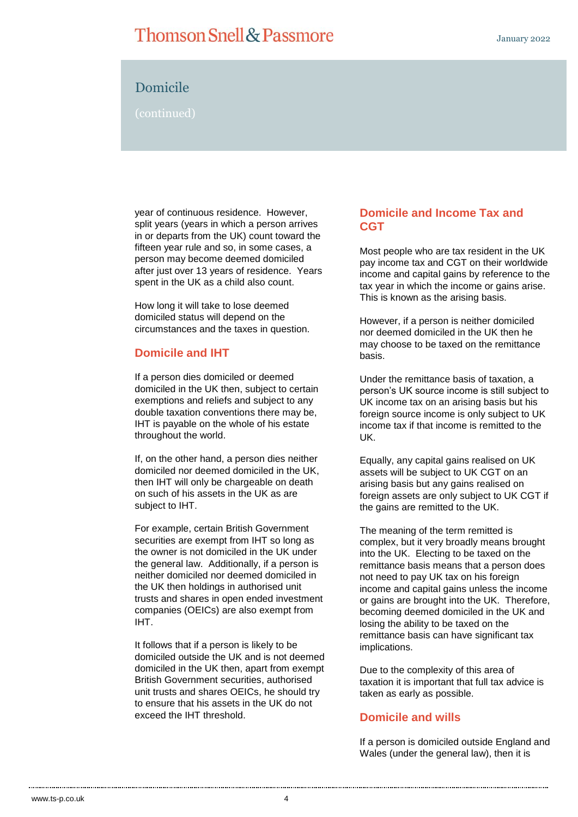# Domicile

### (continued)

year of continuous residence. However, split years (years in which a person arrives in or departs from the UK) count toward the fifteen year rule and so, in some cases, a person may become deemed domiciled after just over 13 years of residence. Years spent in the UK as a child also count.

How long it will take to lose deemed domiciled status will depend on the circumstances and the taxes in question.

#### **Domicile and IHT**

If a person dies domiciled or deemed domiciled in the UK then, subject to certain exemptions and reliefs and subject to any double taxation conventions there may be, IHT is payable on the whole of his estate throughout the world.

If, on the other hand, a person dies neither domiciled nor deemed domiciled in the UK, then IHT will only be chargeable on death on such of his assets in the UK as are subject to IHT.

For example, certain British Government securities are exempt from IHT so long as the owner is not domiciled in the UK under the general law. Additionally, if a person is neither domiciled nor deemed domiciled in the UK then holdings in authorised unit trusts and shares in open ended investment companies (OEICs) are also exempt from IHT.

It follows that if a person is likely to be domiciled outside the UK and is not deemed domiciled in the UK then, apart from exempt British Government securities, authorised unit trusts and shares OEICs, he should try to ensure that his assets in the UK do not exceed the IHT threshold.

### **Domicile and Income Tax and CGT**

Most people who are tax resident in the UK pay income tax and CGT on their worldwide income and capital gains by reference to the tax year in which the income or gains arise. This is known as the arising basis.

However, if a person is neither domiciled nor deemed domiciled in the UK then he may choose to be taxed on the remittance basis.

Under the remittance basis of taxation, a person's UK source income is still subject to UK income tax on an arising basis but his foreign source income is only subject to UK income tax if that income is remitted to the UK.

Equally, any capital gains realised on UK assets will be subject to UK CGT on an arising basis but any gains realised on foreign assets are only subject to UK CGT if the gains are remitted to the UK.

The meaning of the term remitted is complex, but it very broadly means brought into the UK. Electing to be taxed on the remittance basis means that a person does not need to pay UK tax on his foreign income and capital gains unless the income or gains are brought into the UK. Therefore, becoming deemed domiciled in the UK and losing the ability to be taxed on the remittance basis can have significant tax implications.

Due to the complexity of this area of taxation it is important that full tax advice is taken as early as possible.

#### **Domicile and wills**

If a person is domiciled outside England and Wales (under the general law), then it is